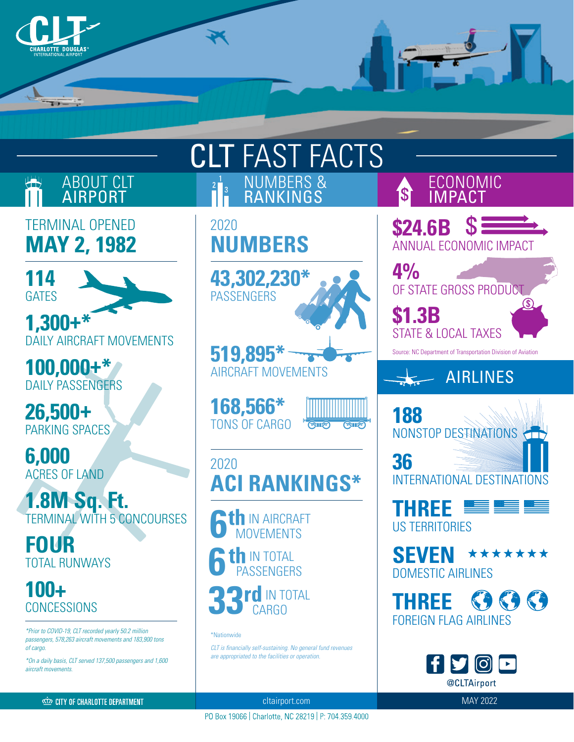



PO Box 19066 | Charlotte, NC 28219 | P: 704.359.4000